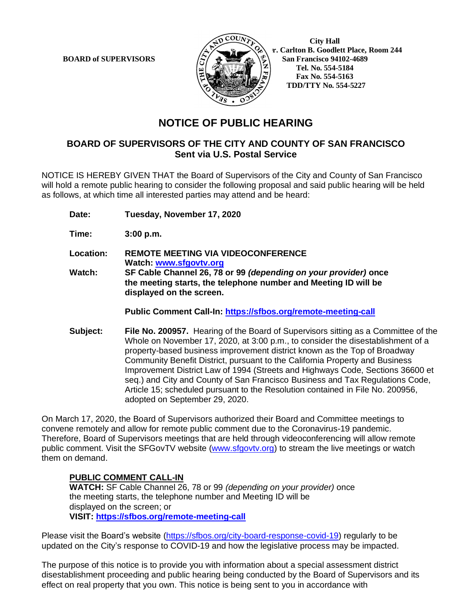**BOARD of SUPERVISORS**  $\left(\frac{S}{S}\right)$   $\oplus$   $\left(\frac{S}{S}\right)$  San Francisco 94102-4689



**r. Carlton B. Goodlett Place, Room 244 Tel. No. 554-5184 Fax No. 554-5163 TDD/TTY No. 554-5227**

## **NOTICE OF PUBLIC HEARING**

## **BOARD OF SUPERVISORS OF THE CITY AND COUNTY OF SAN FRANCISCO Sent via U.S. Postal Service**

NOTICE IS HEREBY GIVEN THAT the Board of Supervisors of the City and County of San Francisco will hold a remote public hearing to consider the following proposal and said public hearing will be held as follows, at which time all interested parties may attend and be heard:

**Date: Tuesday, November 17, 2020**

**displayed on the screen.**

**Time: 3:00 p.m.**

**Location: REMOTE MEETING VIA VIDEOCONFERENCE Watch: [www.sfgovtv.org](http://www.sfgovtv.org/) Watch: SF Cable Channel 26, 78 or 99** *(depending on your provider)* **once the meeting starts, the telephone number and Meeting ID will be**

**Public Comment Call-In:<https://sfbos.org/remote-meeting-call>**

**Subject: File No. 200957.** Hearing of the Board of Supervisors sitting as a Committee of the Whole on November 17, 2020, at 3:00 p.m., to consider the disestablishment of a property-based business improvement district known as the Top of Broadway Community Benefit District, pursuant to the California Property and Business Improvement District Law of 1994 (Streets and Highways Code, Sections 36600 et seq.) and City and County of San Francisco Business and Tax Regulations Code, Article 15; scheduled pursuant to the Resolution contained in File No. 200956, adopted on September 29, 2020.

On March 17, 2020, the Board of Supervisors authorized their Board and Committee meetings to convene remotely and allow for remote public comment due to the Coronavirus-19 pandemic. Therefore, Board of Supervisors meetings that are held through videoconferencing will allow remote public comment. Visit the SFGovTV website [\(www.sfgovtv.org\)](http://www.sfgovtv.org/) to stream the live meetings or watch them on demand.

## **PUBLIC COMMENT CALL-IN**

**WATCH:** SF Cable Channel 26, 78 or 99 *(depending on your provider)* once the meeting starts, the telephone number and Meeting ID will be displayed on the screen; or **VISIT: <https://sfbos.org/remote-meeting-call>**

Please visit the Board's website [\(https://sfbos.org/city-board-response-covid-19\)](https://sfbos.org/city-board-response-covid-19) regularly to be updated on the City's response to COVID-19 and how the legislative process may be impacted.

The purpose of this notice is to provide you with information about a special assessment district disestablishment proceeding and public hearing being conducted by the Board of Supervisors and its effect on real property that you own. This notice is being sent to you in accordance with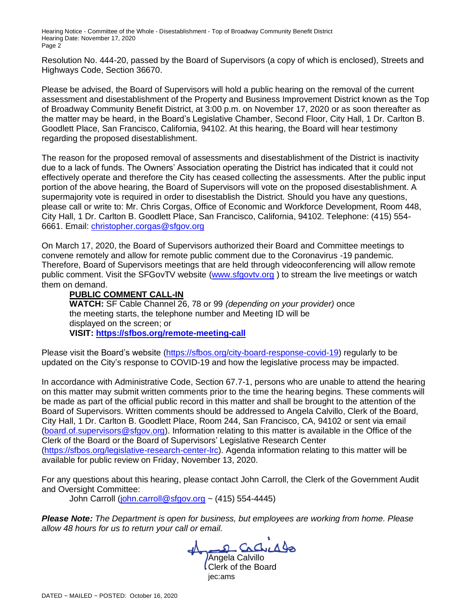Hearing Notice - Committee of the Whole - Disestablishment - Top of Broadway Community Benefit District Hearing Date: November 17, 2020 Page 2

Resolution No. 444-20, passed by the Board of Supervisors (a copy of which is enclosed), Streets and Highways Code, Section 36670.

Please be advised, the Board of Supervisors will hold a public hearing on the removal of the current assessment and disestablishment of the Property and Business Improvement District known as the Top of Broadway Community Benefit District, at 3:00 p.m. on November 17, 2020 or as soon thereafter as the matter may be heard, in the Board's Legislative Chamber, Second Floor, City Hall, 1 Dr. Carlton B. Goodlett Place, San Francisco, California, 94102. At this hearing, the Board will hear testimony regarding the proposed disestablishment.

The reason for the proposed removal of assessments and disestablishment of the District is inactivity due to a lack of funds. The Owners' Association operating the District has indicated that it could not effectively operate and therefore the City has ceased collecting the assessments. After the public input portion of the above hearing, the Board of Supervisors will vote on the proposed disestablishment. A supermajority vote is required in order to disestablish the District. Should you have any questions, please call or write to: Mr. Chris Corgas, Office of Economic and Workforce Development, Room 448, City Hall, 1 Dr. Carlton B. Goodlett Place, San Francisco, California, 94102. Telephone: (415) 554- 6661. Email: [christopher.corgas@sfgov.org](mailto:christopher.corgas@sfgov.org)

On March 17, 2020, the Board of Supervisors authorized their Board and Committee meetings to convene remotely and allow for remote public comment due to the Coronavirus -19 pandemic. Therefore, Board of Supervisors meetings that are held through videoconferencing will allow remote public comment. Visit the SFGovTV website [\(www.sfgovtv.org](http://www.sfgovtv.org/)) to stream the live meetings or watch them on demand.

## **PUBLIC COMMENT CALL-IN**

**WATCH:** SF Cable Channel 26, 78 or 99 *(depending on your provider)* once the meeting starts, the telephone number and Meeting ID will be displayed on the screen; or **VISIT: <https://sfbos.org/remote-meeting-call>**

Please visit the Board's website [\(https://sfbos.org/city-board-response-covid-19\)](https://sfbos.org/city-board-response-covid-19) regularly to be updated on the City's response to COVID-19 and how the legislative process may be impacted.

In accordance with Administrative Code, Section 67.7-1, persons who are unable to attend the hearing on this matter may submit written comments prior to the time the hearing begins. These comments will be made as part of the official public record in this matter and shall be brought to the attention of the Board of Supervisors. Written comments should be addressed to Angela Calvillo, Clerk of the Board, City Hall, 1 Dr. Carlton B. Goodlett Place, Room 244, San Francisco, CA, 94102 or sent via email [\(board.of.supervisors@sfgov.org\)](mailto:board.of.supervisors@sfgov.org). Information relating to this matter is available in the Office of the Clerk of the Board or the Board of Supervisors' Legislative Research Center [\(https://sfbos.org/legislative-research-center-lrc\)](https://sfbos.org/legislative-research-center-lrc). Agenda information relating to this matter will be available for public review on Friday, November 13, 2020.

For any questions about this hearing, please contact John Carroll, the Clerk of the Government Audit and Oversight Committee:

John Carroll [\(john.carroll@sfgov.org](mailto:john.carroll@sfgov.org) ~ (415) 554-4445)

*Please Note: The Department is open for business, but employees are working from home. Please allow 48 hours for us to return your call or email.*

2 Cacheddo Angela Calvillo Clerk of the Board jec:ams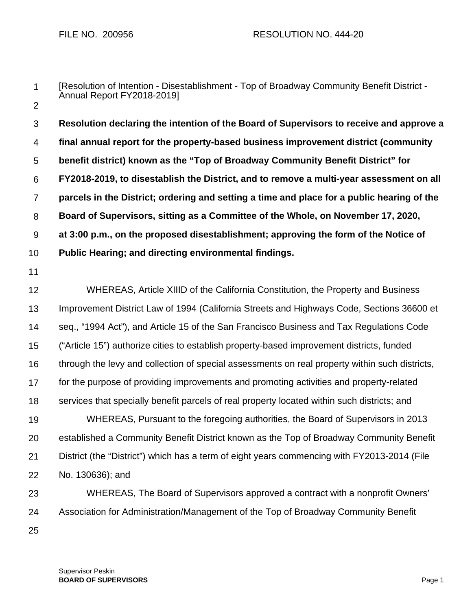1

2 3 4 5 6 7 8 9 10 11 12 13 14 15 16 17 18 19 20 21 22 23 24 [Resolution of Intention - Disestablishment - Top of Broadway Community Benefit District -<br>Annual Report FY2018-2019] **Resolution declaring the intention of the Board of Supervisors to receive and approve a final annual report for the property-based business improvement district (community benefit district) known as the "Top of Broadway Community Benefit District" for FY2018-2019, to disestablish the District, and to remove a multi-year assessment on all parcels in the District; ordering and setting a time and place for a public hearing of the Board of Supervisors, sitting as a Committee of the Whole, on November 17, 2020, at 3:00 p.m., on the proposed disestablishment; approving the form of the Notice of Public Hearing; and directing environmental findings.** WHEREAS, Article XIIID of the California Constitution, the Property and Business Improvement District Law of 1994 (California Streets and Highways Code, Sections 36600 et seq., "1994 Act"), and Article 15 of the San Francisco Business and Tax Regulations Code ("Article 15") authorize cities to establish property-based improvement districts, funded through the levy and collection of special assessments on real property within such districts, for the purpose of providing improvements and promoting activities and property-related services that specially benefit parcels of real property located within such districts; and WHEREAS, Pursuant to the foregoing authorities, the Board of Supervisors in 2013 established a Community Benefit District known as the Top of Broadway Community Benefit District (the "District") which has a term of eight years commencing with FY2013-2014 (File No. 130636); and WHEREAS, The Board of Supervisors approved a contract with a nonprofit Owners' Association for Administration/Management of the Top of Broadway Community Benefit

25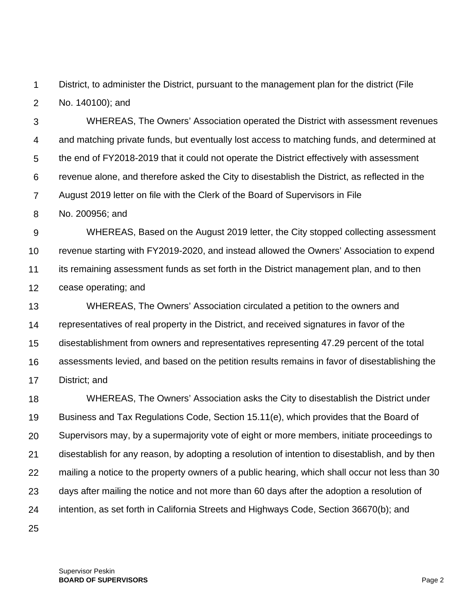1  $\mathcal{P}$ District, to administer the District, pursuant to the management plan for the district (File No. 140100); and

3 4 5 6 7 WHEREAS, The Owners' Association operated the District with assessment revenues and matching private funds, but eventually lost access to matching funds, and determined at the end of FY2018-2019 that it could not operate the District effectively with assessment revenue alone, and therefore asked the City to disestablish the District, as reflected in the August 2019 letter on file with the Clerk of the Board of Supervisors in File

8 No. 200956; and

9 10 11 12 WHEREAS, Based on the August 2019 letter, the City stopped collecting assessment revenue starting with FY2019-2020, and instead allowed the Owners' Association to expend its remaining assessment funds as set forth in the District management plan, and to then cease operating; and

13 14 15 16 17 WHEREAS, The Owners' Association circulated a petition to the owners and representatives of real property in the District, and received signatures in favor of the disestablishment from owners and representatives representing 47.29 percent of the total assessments levied, and based on the petition results remains in favor of disestablishing the District; and

18 19 20 21 22 23 24 WHEREAS, The Owners' Association asks the City to disestablish the District under Business and Tax Regulations Code, Section 15.11(e), which provides that the Board of Supervisors may, by a supermajority vote of eight or more members, initiate proceedings to disestablish for any reason, by adopting a resolution of intention to disestablish, and by then mailing a notice to the property owners of a public hearing, which shall occur not less than 30 days after mailing the notice and not more than 60 days after the adoption a resolution of intention, as set forth in California Streets and Highways Code, Section 36670(b); and

25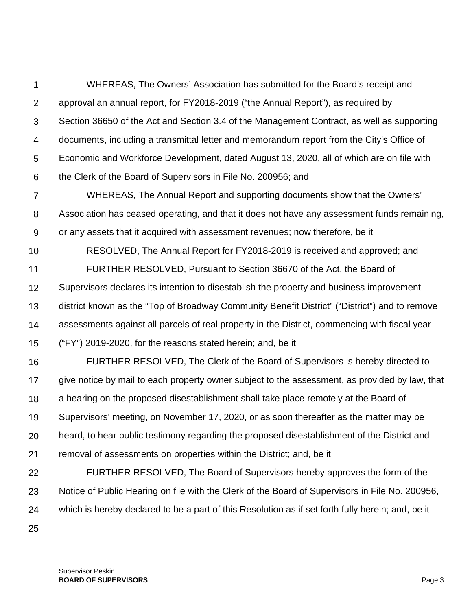| 1              | WHEREAS, The Owners' Association has submitted for the Board's receipt and                        |
|----------------|---------------------------------------------------------------------------------------------------|
| $\overline{2}$ | approval an annual report, for FY2018-2019 ("the Annual Report"), as required by                  |
| 3              | Section 36650 of the Act and Section 3.4 of the Management Contract, as well as supporting        |
| 4              | documents, including a transmittal letter and memorandum report from the City's Office of         |
| 5              | Economic and Workforce Development, dated August 13, 2020, all of which are on file with          |
| 6              | the Clerk of the Board of Supervisors in File No. 200956; and                                     |
| 7              | WHEREAS, The Annual Report and supporting documents show that the Owners'                         |
| 8              | Association has ceased operating, and that it does not have any assessment funds remaining,       |
| 9              | or any assets that it acquired with assessment revenues; now therefore, be it                     |
| 10             | RESOLVED, The Annual Report for FY2018-2019 is received and approved; and                         |
| 11             | FURTHER RESOLVED, Pursuant to Section 36670 of the Act, the Board of                              |
| 12             | Supervisors declares its intention to disestablish the property and business improvement          |
| 13             | district known as the "Top of Broadway Community Benefit District" ("District") and to remove     |
| 14             | assessments against all parcels of real property in the District, commencing with fiscal year     |
| 15             | ("FY") 2019-2020, for the reasons stated herein; and, be it                                       |
| 16             | FURTHER RESOLVED, The Clerk of the Board of Supervisors is hereby directed to                     |
| 17             | give notice by mail to each property owner subject to the assessment, as provided by law, that    |
| 18             | a hearing on the proposed disestablishment shall take place remotely at the Board of              |
| 19             | Supervisors' meeting, on November 17, 2020, or as soon thereafter as the matter may be            |
| 20             | heard, to hear public testimony regarding the proposed disestablishment of the District and       |
| 21             | removal of assessments on properties within the District; and, be it                              |
| 22             | FURTHER RESOLVED, The Board of Supervisors hereby approves the form of the                        |
| 23             | Notice of Public Hearing on file with the Clerk of the Board of Supervisors in File No. 200956,   |
| 24             | which is hereby declared to be a part of this Resolution as if set forth fully herein; and, be it |
| 25             |                                                                                                   |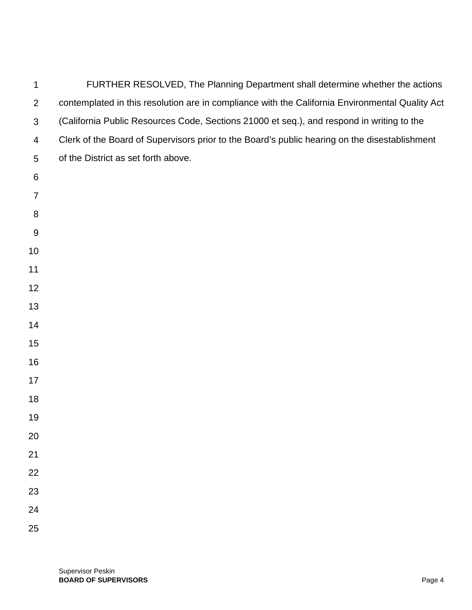| 1              | FURTHER RESOLVED, The Planning Department shall determine whether the actions                   |
|----------------|-------------------------------------------------------------------------------------------------|
| 2              | contemplated in this resolution are in compliance with the California Environmental Quality Act |
| 3              | (California Public Resources Code, Sections 21000 et seq.), and respond in writing to the       |
| 4              | Clerk of the Board of Supervisors prior to the Board's public hearing on the disestablishment   |
| 5              | of the District as set forth above.                                                             |
| 6              |                                                                                                 |
| $\overline{7}$ |                                                                                                 |
| $\,8\,$        |                                                                                                 |
| $9\,$          |                                                                                                 |
| 10             |                                                                                                 |
| 11             |                                                                                                 |
| 12             |                                                                                                 |
| 13             |                                                                                                 |
| 14             |                                                                                                 |
| 15             |                                                                                                 |
| 16             |                                                                                                 |
| 17             |                                                                                                 |
| 18             |                                                                                                 |
| 19             |                                                                                                 |
| 20             |                                                                                                 |
| 21             |                                                                                                 |
| 22             |                                                                                                 |
| 23             |                                                                                                 |
| 24             |                                                                                                 |
| 25             |                                                                                                 |